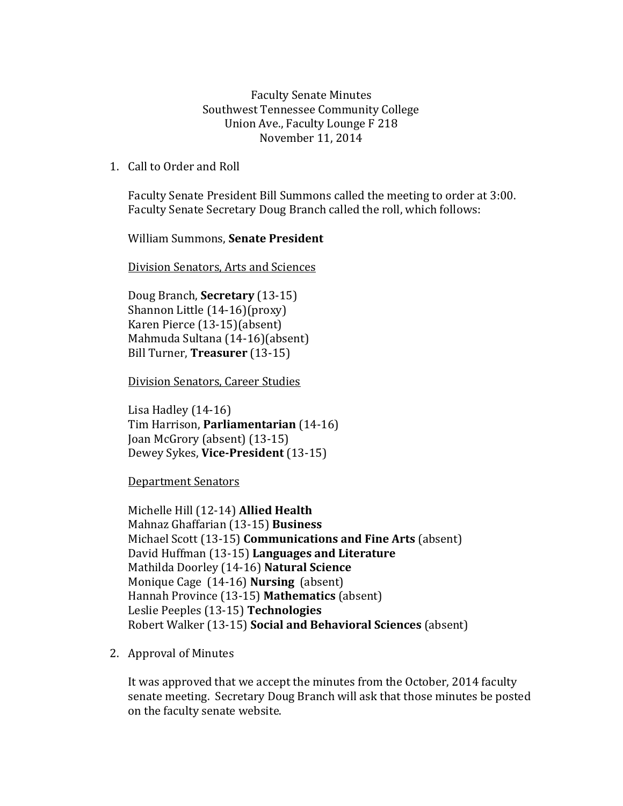Faculty Senate Minutes Southwest Tennessee Community College Union Ave., Faculty Lounge F 218 November 11, 2014

1. Call to Order and Roll

Faculty Senate President Bill Summons called the meeting to order at 3:00. Faculty Senate Secretary Doug Branch called the roll, which follows:

William Summons, **Senate President**

Division Senators, Arts and Sciences

Doug Branch, **Secretary** (13-15) Shannon Little (14-16)(proxy) Karen Pierce (13-15)(absent) Mahmuda Sultana (14-16)(absent) Bill Turner, **Treasurer** (13-15)

Division Senators, Career Studies

Lisa Hadley (14-16) Tim Harrison, **Parliamentarian** (14-16) Joan McGrory (absent) (13-15) Dewey Sykes, **Vice-President** (13-15)

Department Senators

Michelle Hill (12-14) **Allied Health** Mahnaz Ghaffarian (13-15) **Business** Michael Scott (13-15) **Communications and Fine Arts** (absent) David Huffman (13-15) **Languages and Literature** Mathilda Doorley (14-16) **Natural Science** Monique Cage (14-16) **Nursing** (absent) Hannah Province (13-15) **Mathematics** (absent) Leslie Peeples (13-15) **Technologies**  Robert Walker (13-15) **Social and Behavioral Sciences** (absent)

2. Approval of Minutes

It was approved that we accept the minutes from the October, 2014 faculty senate meeting. Secretary Doug Branch will ask that those minutes be posted on the faculty senate website.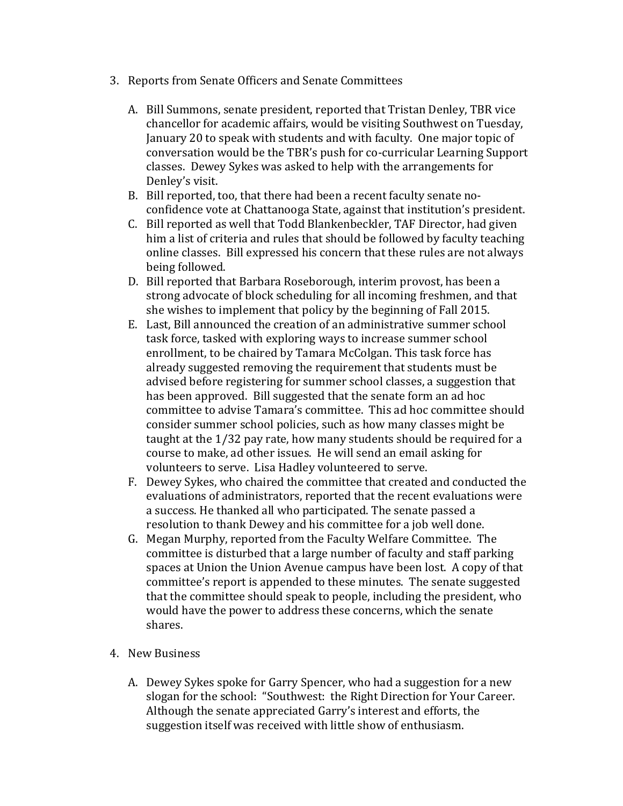- 3. Reports from Senate Officers and Senate Committees
	- A. Bill Summons, senate president, reported that Tristan Denley, TBR vice chancellor for academic affairs, would be visiting Southwest on Tuesday, January 20 to speak with students and with faculty. One major topic of conversation would be the TBR's push for co-curricular Learning Support classes. Dewey Sykes was asked to help with the arrangements for Denley's visit.
	- B. Bill reported, too, that there had been a recent faculty senate noconfidence vote at Chattanooga State, against that institution's president.
	- C. Bill reported as well that Todd Blankenbeckler, TAF Director, had given him a list of criteria and rules that should be followed by faculty teaching online classes. Bill expressed his concern that these rules are not always being followed.
	- D. Bill reported that Barbara Roseborough, interim provost, has been a strong advocate of block scheduling for all incoming freshmen, and that she wishes to implement that policy by the beginning of Fall 2015.
	- E. Last, Bill announced the creation of an administrative summer school task force, tasked with exploring ways to increase summer school enrollment, to be chaired by Tamara McColgan. This task force has already suggested removing the requirement that students must be advised before registering for summer school classes, a suggestion that has been approved. Bill suggested that the senate form an ad hoc committee to advise Tamara's committee. This ad hoc committee should consider summer school policies, such as how many classes might be taught at the 1/32 pay rate, how many students should be required for a course to make, ad other issues. He will send an email asking for volunteers to serve. Lisa Hadley volunteered to serve.
	- F. Dewey Sykes, who chaired the committee that created and conducted the evaluations of administrators, reported that the recent evaluations were a success. He thanked all who participated. The senate passed a resolution to thank Dewey and his committee for a job well done.
	- G. Megan Murphy, reported from the Faculty Welfare Committee. The committee is disturbed that a large number of faculty and staff parking spaces at Union the Union Avenue campus have been lost. A copy of that committee's report is appended to these minutes. The senate suggested that the committee should speak to people, including the president, who would have the power to address these concerns, which the senate shares.
- 4. New Business
	- A. Dewey Sykes spoke for Garry Spencer, who had a suggestion for a new slogan for the school: "Southwest: the Right Direction for Your Career. Although the senate appreciated Garry's interest and efforts, the suggestion itself was received with little show of enthusiasm.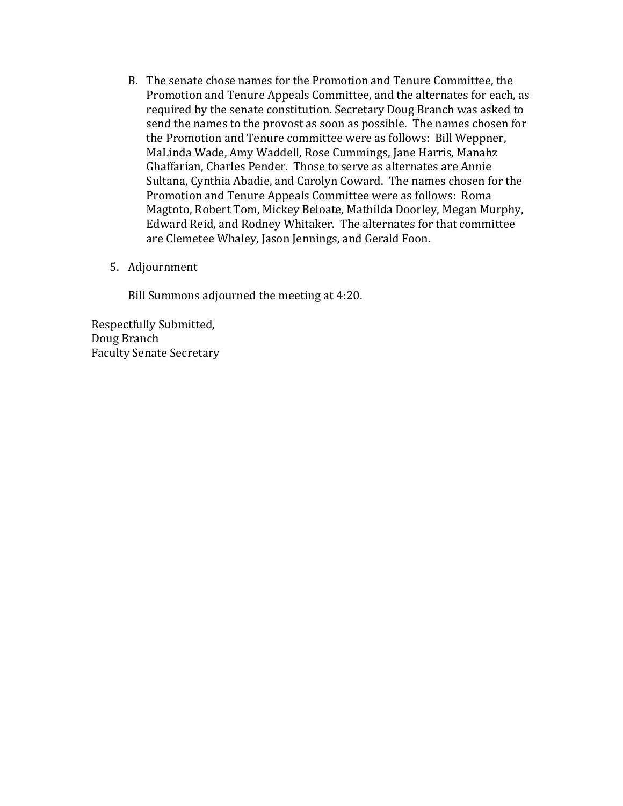- B. The senate chose names for the Promotion and Tenure Committee, the Promotion and Tenure Appeals Committee, and the alternates for each, as required by the senate constitution. Secretary Doug Branch was asked to send the names to the provost as soon as possible. The names chosen for the Promotion and Tenure committee were as follows: Bill Weppner, MaLinda Wade, Amy Waddell, Rose Cummings, Jane Harris, Manahz Ghaffarian, Charles Pender. Those to serve as alternates are Annie Sultana, Cynthia Abadie, and Carolyn Coward. The names chosen for the Promotion and Tenure Appeals Committee were as follows: Roma Magtoto, Robert Tom, Mickey Beloate, Mathilda Doorley, Megan Murphy, Edward Reid, and Rodney Whitaker. The alternates for that committee are Clemetee Whaley, Jason Jennings, and Gerald Foon.
- 5. Adjournment

Bill Summons adjourned the meeting at 4:20.

Respectfully Submitted, Doug Branch Faculty Senate Secretary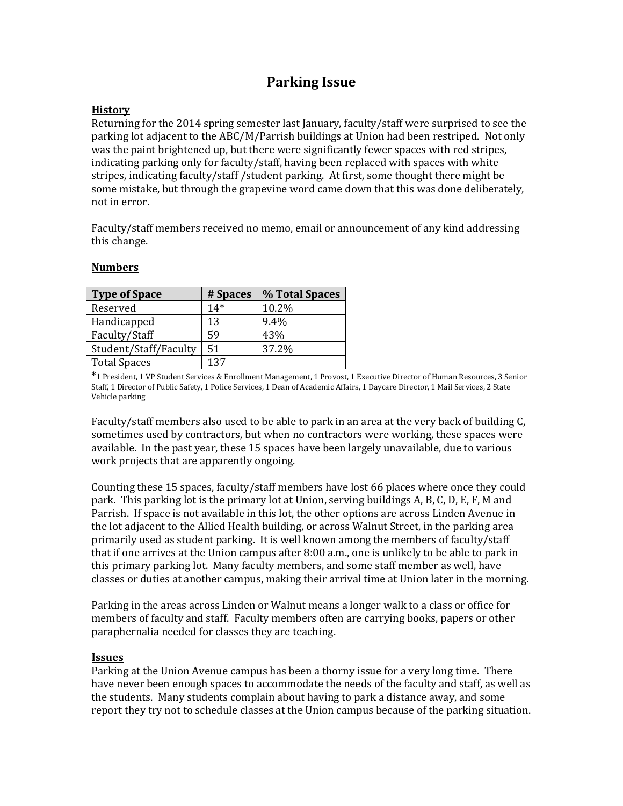# **Parking Issue**

# **History**

Returning for the 2014 spring semester last January, faculty/staff were surprised to see the parking lot adjacent to the ABC/M/Parrish buildings at Union had been restriped. Not only was the paint brightened up, but there were significantly fewer spaces with red stripes, indicating parking only for faculty/staff, having been replaced with spaces with white stripes, indicating faculty/staff /student parking. At first, some thought there might be some mistake, but through the grapevine word came down that this was done deliberately, not in error.

Faculty/staff members received no memo, email or announcement of any kind addressing this change.

| <b>Type of Space</b>  | # Spaces | % Total Spaces |
|-----------------------|----------|----------------|
| Reserved              | $14*$    | 10.2%          |
| Handicapped           | 13       | 9.4%           |
| Faculty/Staff         | 59       | 43%            |
| Student/Staff/Faculty | 51       | 37.2%          |
| <b>Total Spaces</b>   | 137      |                |

#### **Numbers**

\*1 President, 1 VP Student Services & Enrollment Management, 1 Provost, 1 Executive Director of Human Resources, 3 Senior Staff, 1 Director of Public Safety, 1 Police Services, 1 Dean of Academic Affairs, 1 Daycare Director, 1 Mail Services, 2 State Vehicle parking

Faculty/staff members also used to be able to park in an area at the very back of building C, sometimes used by contractors, but when no contractors were working, these spaces were available. In the past year, these 15 spaces have been largely unavailable, due to various work projects that are apparently ongoing.

Counting these 15 spaces, faculty/staff members have lost 66 places where once they could park. This parking lot is the primary lot at Union, serving buildings A, B, C, D, E, F, M and Parrish. If space is not available in this lot, the other options are across Linden Avenue in the lot adjacent to the Allied Health building, or across Walnut Street, in the parking area primarily used as student parking. It is well known among the members of faculty/staff that if one arrives at the Union campus after 8:00 a.m., one is unlikely to be able to park in this primary parking lot. Many faculty members, and some staff member as well, have classes or duties at another campus, making their arrival time at Union later in the morning.

Parking in the areas across Linden or Walnut means a longer walk to a class or office for members of faculty and staff. Faculty members often are carrying books, papers or other paraphernalia needed for classes they are teaching.

### **Issues**

Parking at the Union Avenue campus has been a thorny issue for a very long time. There have never been enough spaces to accommodate the needs of the faculty and staff, as well as the students. Many students complain about having to park a distance away, and some report they try not to schedule classes at the Union campus because of the parking situation.